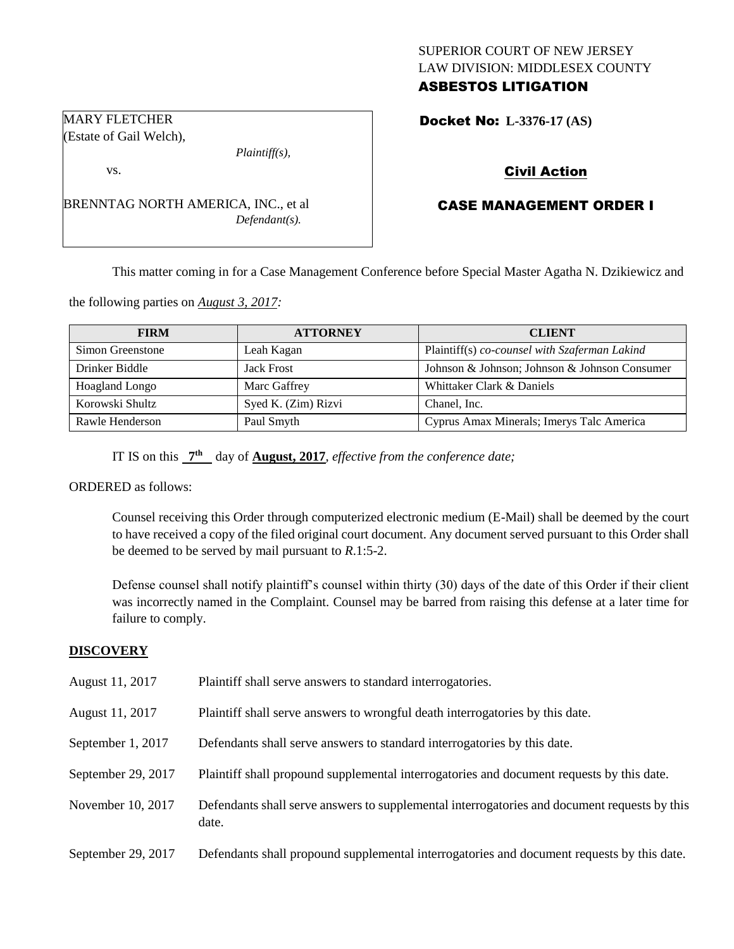# SUPERIOR COURT OF NEW JERSEY LAW DIVISION: MIDDLESEX COUNTY ASBESTOS LITIGATION

Docket No: **L-3376-17 (AS)** 

# Civil Action

# CASE MANAGEMENT ORDER I

This matter coming in for a Case Management Conference before Special Master Agatha N. Dzikiewicz and

the following parties on *August 3, 2017:*

BRENNTAG NORTH AMERICA, INC., et al

| <b>FIRM</b>           | <b>ATTORNEY</b>     | <b>CLIENT</b>                                 |
|-----------------------|---------------------|-----------------------------------------------|
| Simon Greenstone      | Leah Kagan          | Plaintiff(s) co-counsel with Szaferman Lakind |
| Drinker Biddle        | <b>Jack Frost</b>   | Johnson & Johnson; Johnson & Johnson Consumer |
| <b>Hoagland Longo</b> | Marc Gaffrey        | Whittaker Clark & Daniels                     |
| Korowski Shultz       | Syed K. (Zim) Rizvi | Chanel, Inc.                                  |
| Rawle Henderson       | Paul Smyth          | Cyprus Amax Minerals; Imerys Talc America     |

IT IS on this  $7<sup>th</sup>$  day of **August, 2017**, *effective from the conference date*;

*Plaintiff(s),*

*Defendant(s).*

ORDERED as follows:

MARY FLETCHER (Estate of Gail Welch),

vs.

Counsel receiving this Order through computerized electronic medium (E-Mail) shall be deemed by the court to have received a copy of the filed original court document. Any document served pursuant to this Order shall be deemed to be served by mail pursuant to *R*.1:5-2.

Defense counsel shall notify plaintiff's counsel within thirty (30) days of the date of this Order if their client was incorrectly named in the Complaint. Counsel may be barred from raising this defense at a later time for failure to comply.

## **DISCOVERY**

| August 11, 2017    | Plaintiff shall serve answers to standard interrogatories.                                            |
|--------------------|-------------------------------------------------------------------------------------------------------|
| August 11, 2017    | Plaintiff shall serve answers to wrongful death interrogatories by this date.                         |
| September 1, 2017  | Defendants shall serve answers to standard interrogatories by this date.                              |
| September 29, 2017 | Plaintiff shall propound supplemental interrogatories and document requests by this date.             |
| November 10, 2017  | Defendants shall serve answers to supplemental interrogatories and document requests by this<br>date. |
| September 29, 2017 | Defendants shall propound supplemental interrogatories and document requests by this date.            |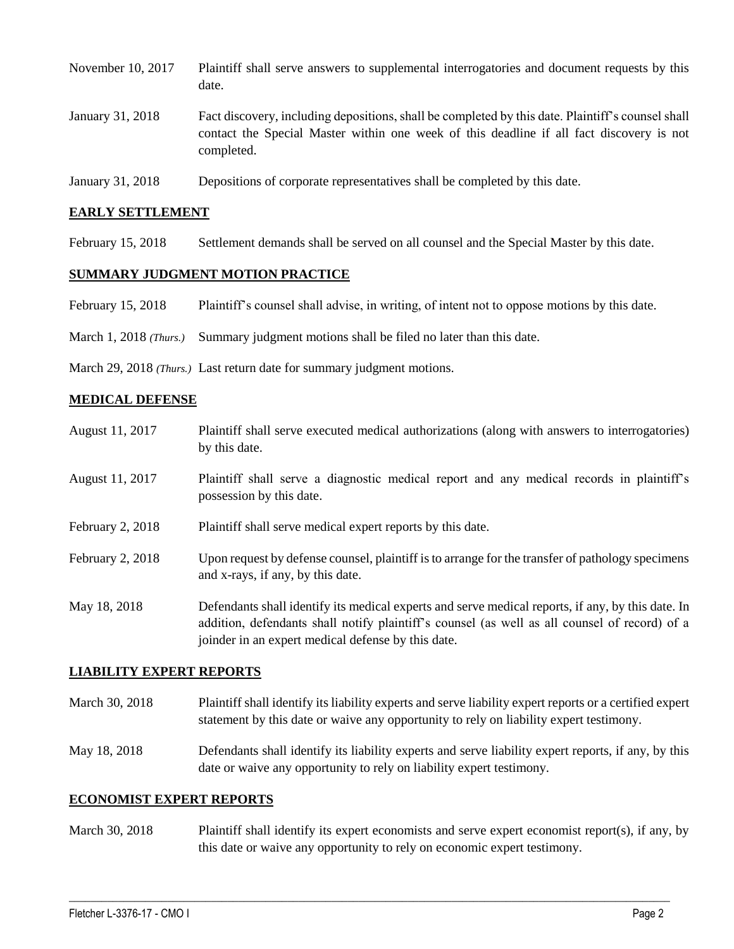| November 10, 2017 | Plaintiff shall serve answers to supplemental interrogatories and document requests by this<br>date.                                                                                                        |
|-------------------|-------------------------------------------------------------------------------------------------------------------------------------------------------------------------------------------------------------|
| January 31, 2018  | Fact discovery, including depositions, shall be completed by this date. Plaintiff's counsel shall<br>contact the Special Master within one week of this deadline if all fact discovery is not<br>completed. |

January 31, 2018 Depositions of corporate representatives shall be completed by this date.

#### **EARLY SETTLEMENT**

February 15, 2018 Settlement demands shall be served on all counsel and the Special Master by this date.

## **SUMMARY JUDGMENT MOTION PRACTICE**

- February 15, 2018 Plaintiff's counsel shall advise, in writing, of intent not to oppose motions by this date.
- March 1, 2018 *(Thurs.)* Summary judgment motions shall be filed no later than this date.
- March 29, 2018 *(Thurs.)* Last return date for summary judgment motions.

#### **MEDICAL DEFENSE**

| August 11, 2017  | Plaintiff shall serve executed medical authorizations (along with answers to interrogatories)<br>by this date.                                                                                                                                           |
|------------------|----------------------------------------------------------------------------------------------------------------------------------------------------------------------------------------------------------------------------------------------------------|
| August 11, 2017  | Plaintiff shall serve a diagnostic medical report and any medical records in plaintiff's<br>possession by this date.                                                                                                                                     |
| February 2, 2018 | Plaintiff shall serve medical expert reports by this date.                                                                                                                                                                                               |
| February 2, 2018 | Upon request by defense counsel, plaintiff is to arrange for the transfer of pathology specimens<br>and x-rays, if any, by this date.                                                                                                                    |
| May 18, 2018     | Defendants shall identify its medical experts and serve medical reports, if any, by this date. In<br>addition, defendants shall notify plaintiff's counsel (as well as all counsel of record) of a<br>joinder in an expert medical defense by this date. |

## **LIABILITY EXPERT REPORTS**

- March 30, 2018 Plaintiff shall identify its liability experts and serve liability expert reports or a certified expert statement by this date or waive any opportunity to rely on liability expert testimony.
- May 18, 2018 Defendants shall identify its liability experts and serve liability expert reports, if any, by this date or waive any opportunity to rely on liability expert testimony.

#### **ECONOMIST EXPERT REPORTS**

March 30, 2018 Plaintiff shall identify its expert economists and serve expert economist report(s), if any, by this date or waive any opportunity to rely on economic expert testimony.

 $\_$  ,  $\_$  ,  $\_$  ,  $\_$  ,  $\_$  ,  $\_$  ,  $\_$  ,  $\_$  ,  $\_$  ,  $\_$  ,  $\_$  ,  $\_$  ,  $\_$  ,  $\_$  ,  $\_$  ,  $\_$  ,  $\_$  ,  $\_$  ,  $\_$  ,  $\_$  ,  $\_$  ,  $\_$  ,  $\_$  ,  $\_$  ,  $\_$  ,  $\_$  ,  $\_$  ,  $\_$  ,  $\_$  ,  $\_$  ,  $\_$  ,  $\_$  ,  $\_$  ,  $\_$  ,  $\_$  ,  $\_$  ,  $\_$  ,